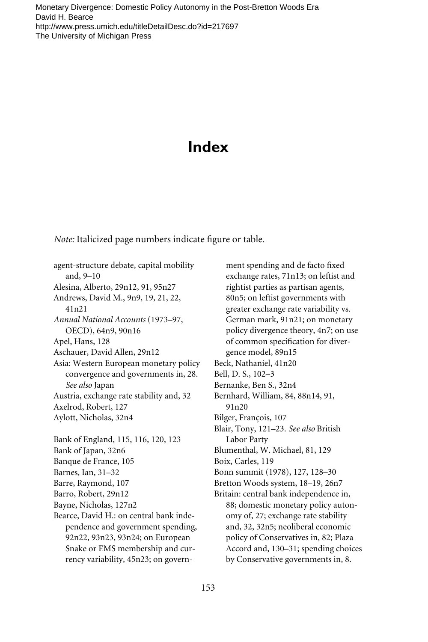# **Index**

*Note:* Italicized page numbers indicate figure or table.

agent-structure debate, capital mobility and, 9–10 Alesina, Alberto, 29n12, 91, 95n27 Andrews, David M., 9n9, 19, 21, 22, 41n21 *Annual National Accounts* (1973–97, OECD), 64n9, 90n16 Apel, Hans, 128 Aschauer, David Allen, 29n12 Asia: Western European monetary policy convergence and governments in, 28. *See also* Japan Austria, exchange rate stability and, 32 Axelrod, Robert, 127 Aylott, Nicholas, 32n4 Bank of England, 115, 116, 120, 123 Bank of Japan, 32n6 Banque de France, 105 Barnes, Ian, 31–32 Barre, Raymond, 107 Barro, Robert, 29n12 Bayne, Nicholas, 127n2 Bearce, David H.: on central bank independence and government spending, 92n22, 93n23, 93n24; on European Snake or EMS membership and currency variability, 45n23; on govern-

ment spending and de facto fixed exchange rates, 71n13; on leftist and rightist parties as partisan agents, 80n5; on leftist governments with greater exchange rate variability vs. German mark, 91n21; on monetary policy divergence theory, 4n7; on use of common specification for divergence model, 89n15 Beck, Nathaniel, 41n20 Bell, D. S., 102–3 Bernanke, Ben S., 32n4 Bernhard, William, 84, 88n14, 91, 91n20 Bilger, François, 107 Blair, Tony, 121–23. *See also* British Labor Party Blumenthal, W. Michael, 81, 129 Boix, Carles, 119 Bonn summit (1978), 127, 128–30 Bretton Woods system, 18–19, 26n7 Britain: central bank independence in, 88; domestic monetary policy autonomy of, 27; exchange rate stability and, 32, 32n5; neoliberal economic policy of Conservatives in, 82; Plaza Accord and, 130–31; spending choices by Conservative governments in, 8.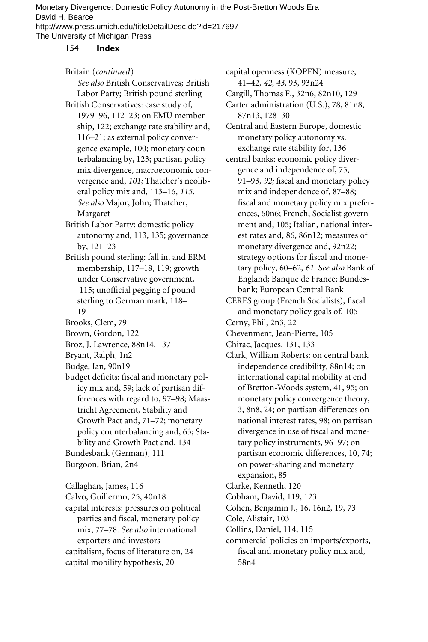#### 154 **Index**

Britain (*continued*)

*See also* British Conservatives; British Labor Party; British pound sterling British Conservatives: case study of, 1979–96, 112–23; on EMU membership, 122; exchange rate stability and, 116–21; as external policy conver-

gence example, 100; monetary counterbalancing by, 123; partisan policy mix divergence, macroeconomic convergence and, *101;* Thatcher's neoliberal policy mix and, 113–16, *115. See also* Major, John; Thatcher, Margaret

British Labor Party: domestic policy autonomy and, 113, 135; governance by, 121–23

- British pound sterling: fall in, and ERM membership, 117–18, 119; growth under Conservative government, 115; unofficial pegging of pound sterling to German mark, 118– 19
- Brooks, Clem, 79
- Brown, Gordon, 122
- Broz, J. Lawrence, 88n14, 137
- Bryant, Ralph, 1n2
- Budge, Ian, 90n19
- budget deficits: fiscal and monetary policy mix and, 59; lack of partisan differences with regard to, 97–98; Maastricht Agreement, Stability and Growth Pact and, 71–72; monetary policy counterbalancing and, 63; Stability and Growth Pact and, 134 Bundesbank (German), 111 Burgoon, Brian, 2n4

Callaghan, James, 116 Calvo, Guillermo, 25, 40n18 capital interests: pressures on political

parties and fiscal, monetary policy mix, 77–78. *See also* international exporters and investors capitalism, focus of literature on, 24 capital mobility hypothesis, 20

capital openness (KOPEN) measure, 41–42, *42, 43,* 93, 93n24

Cargill, Thomas F., 32n6, 82n10, 129

Carter administration (U.S.), 78, 81n8, 87n13, 128–30

Central and Eastern Europe, domestic monetary policy autonomy vs. exchange rate stability for, 136

- central banks: economic policy divergence and independence of, 75, 91-93, 92; fiscal and monetary policy mix and independence of, 87–88; fiscal and monetary policy mix preferences, 60n6; French, Socialist government and, 105; Italian, national interest rates and, 86, 86n12; measures of monetary divergence and, 92n22; strategy options for fiscal and monetary policy, 60–62, *61. See also* Bank of England; Banque de France; Bundesbank; European Central Bank
- CERES group (French Socialists), fiscal and monetary policy goals of, 105
- Cerny, Phil, 2n3, 22
- Chevenment, Jean-Pierre, 105
- Chirac, Jacques, 131, 133
- Clark, William Roberts: on central bank independence credibility, 88n14; on international capital mobility at end of Bretton-Woods system, 41, 95; on monetary policy convergence theory, 3, 8n8, 24; on partisan differences on national interest rates, 98; on partisan divergence in use of fiscal and monetary policy instruments, 96–97; on partisan economic differences, 10, 74; on power-sharing and monetary expansion, 85
- Clarke, Kenneth, 120
- Cobham, David, 119, 123
- Cohen, Benjamin J., 16, 16n2, 19, 73
- Cole, Alistair, 103
- Collins, Daniel, 114, 115
- commercial policies on imports/exports, fiscal and monetary policy mix and, 58n4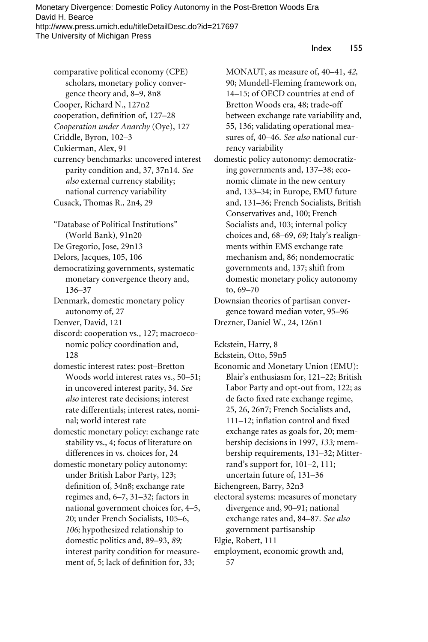# Index 155

comparative political economy (CPE) scholars, monetary policy convergence theory and, 8–9, 8n8 Cooper, Richard N., 127n2 cooperation, definition of, 127-28 *Cooperation under Anarchy* (Oye), 127 Criddle, Byron, 102–3 Cukierman, Alex, 91 currency benchmarks: uncovered interest parity condition and, 37, 37n14. *See also* external currency stability; national currency variability

- Cusack, Thomas R., 2n4, 29
- "Database of Political Institutions" (World Bank), 91n20
- De Gregorio, Jose, 29n13
- Delors, Jacques, 105, 106
- democratizing governments, systematic monetary convergence theory and, 136–37
- Denmark, domestic monetary policy autonomy of, 27
- Denver, David, 121
- discord: cooperation vs., 127; macroeconomic policy coordination and, 128
- domestic interest rates: post–Bretton Woods world interest rates vs., 50–51; in uncovered interest parity, 34. *See also* interest rate decisions; interest rate differentials; interest rates, nominal; world interest rate
- domestic monetary policy: exchange rate stability vs., 4; focus of literature on differences in vs. choices for, 24
- domestic monetary policy autonomy: under British Labor Party, 123; definition of, 34n8; exchange rate regimes and, 6–7, 31–32; factors in national government choices for, 4–5, 20; under French Socialists, 105–6, *106;* hypothesized relationship to domestic politics and, 89–93, *89;* interest parity condition for measurement of, 5; lack of definition for, 33;

MONAUT, as measure of, 40–41, *42,* 90; Mundell-Fleming framework on, 14–15; of OECD countries at end of Bretton Woods era, 48; trade-off between exchange rate variability and, 55, 136; validating operational measures of, 40–46. *See also* national currency variability

- domestic policy autonomy: democratizing governments and, 137–38; economic climate in the new century and, 133–34; in Europe, EMU future and, 131–36; French Socialists, British Conservatives and, 100; French Socialists and, 103; internal policy choices and, 68–69, *69;* Italy's realignments within EMS exchange rate mechanism and, 86; nondemocratic governments and, 137; shift from domestic monetary policy autonomy to, 69–70
- Downsian theories of partisan convergence toward median voter, 95–96 Drezner, Daniel W., 24, 126n1

Eckstein, Harry, 8

- Eckstein, Otto, 59n5
- Economic and Monetary Union (EMU): Blair's enthusiasm for, 121–22; British Labor Party and opt-out from, 122; as de facto fixed rate exchange regime, 25, 26, 26n7; French Socialists and, 111–12; inflation control and fixed exchange rates as goals for, 20; membership decisions in 1997, *133;* membership requirements, 131–32; Mitterrand's support for, 101–2, 111; uncertain future of, 131–36
- Eichengreen, Barry, 32n3
- electoral systems: measures of monetary divergence and, 90–91; national exchange rates and, 84–87. *See also* government partisanship
- Elgie, Robert, 111
- employment, economic growth and, 57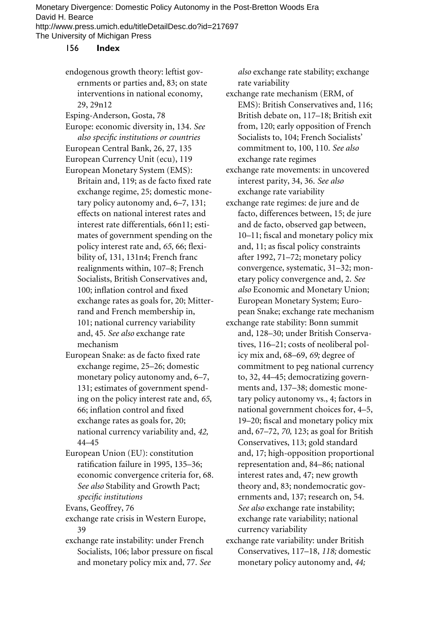# 156 **Index**

endogenous growth theory: leftist governments or parties and, 83; on state interventions in national economy, 29, 29n12

- Esping-Anderson, Gosta, 78
- Europe: economic diversity in, 134. *See*  $also specific institutions or countries$ European Central Bank, 26, 27, 135 European Currency Unit (ecu), 119
- European Monetary System (EMS): Britain and, 119; as de facto fixed rate exchange regime, 25; domestic monetary policy autonomy and, 6–7, 131; effects on national interest rates and interest rate differentials, 66n11; estimates of government spending on the policy interest rate and, 65, 66; flexibility of, 131, 131n4; French franc realignments within, 107–8; French Socialists, British Conservatives and, 100; inflation control and fixed exchange rates as goals for, 20; Mitterrand and French membership in, 101; national currency variability and, 45. *See also* exchange rate mechanism
- European Snake: as de facto fixed rate exchange regime, 25–26; domestic monetary policy autonomy and, 6–7, 131; estimates of government spending on the policy interest rate and, *65,* 66; inflation control and fixed exchange rates as goals for, 20; national currency variability and, *42,* 44–45
- European Union (EU): constitution ratification failure in 1995, 135-36; economic convergence criteria for, 68. *See also* Stability and Growth Pact; specific institutions
- Evans, Geoffrey, 76
- exchange rate crisis in Western Europe, 39
- exchange rate instability: under French Socialists, 106; labor pressure on fiscal and monetary policy mix and, 77. *See*

*also* exchange rate stability; exchange rate variability

exchange rate mechanism (ERM, of EMS): British Conservatives and, 116; British debate on, 117–18; British exit from, 120; early opposition of French Socialists to, 104; French Socialists' commitment to, 100, 110. *See also* exchange rate regimes

- exchange rate movements: in uncovered interest parity, 34, 36. *See also* exchange rate variability
- exchange rate regimes: de jure and de facto, differences between, 15; de jure and de facto, observed gap between, 10–11; fiscal and monetary policy mix and, 11; as fiscal policy constraints after 1992, 71–72; monetary policy convergence, systematic, 31–32; monetary policy convergence and, 2. *See also* Economic and Monetary Union; European Monetary System; European Snake; exchange rate mechanism exchange rate stability: Bonn summit
	- and, 128–30; under British Conservatives, 116–21; costs of neoliberal policy mix and, 68–69, *69;* degree of commitment to peg national currency to, 32, 44–45; democratizing governments and, 137–38; domestic monetary policy autonomy vs., 4; factors in national government choices for, 4–5, 19–20; fiscal and monetary policy mix and, 67–72, *70,* 123; as goal for British Conservatives, 113; gold standard and, 17; high-opposition proportional representation and, 84–86; national interest rates and, 47; new growth theory and, 83; nondemocratic governments and, 137; research on, 54. *See also* exchange rate instability; exchange rate variability; national currency variability
- exchange rate variability: under British Conservatives, 117–18, *118;* domestic monetary policy autonomy and, *44;*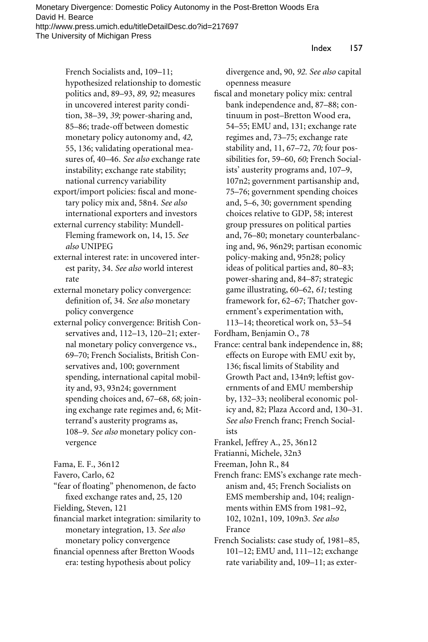Index 157

French Socialists and, 109–11; hypothesized relationship to domestic politics and, 89–93, *89, 92;* measures in uncovered interest parity condition, 38–39, *39;* power-sharing and, 85–86; trade-off between domestic monetary policy autonomy and, *42,* 55, 136; validating operational measures of, 40–46. *See also* exchange rate instability; exchange rate stability; national currency variability

export/import policies: fiscal and monetary policy mix and, 58n4. *See also* international exporters and investors external currency stability: Mundell-

Fleming framework on, 14, 15. *See also* UNIPEG

external interest rate: in uncovered interest parity, 34. *See also* world interest rate

external monetary policy convergence: definition of, 34. See also monetary policy convergence

external policy convergence: British Conservatives and, 112–13, 120–21; external monetary policy convergence vs., 69–70; French Socialists, British Conservatives and, 100; government spending, international capital mobility and, 93, 93n24; government spending choices and, 67–68, *68;* joining exchange rate regimes and, 6; Mitterrand's austerity programs as, 108–9. *See also* monetary policy convergence

Fama, E. F., 36n12

Favero, Carlo, 62

"fear of floating" phenomenon, de facto fixed exchange rates and, 25, 120

Fielding, Steven, 121

financial market integration: similarity to monetary integration, 13. *See also* monetary policy convergence

financial openness after Bretton Woods era: testing hypothesis about policy

divergence and, 90, *92. See also* capital openness measure

fiscal and monetary policy mix: central bank independence and, 87–88; continuum in post–Bretton Wood era, 54–55; EMU and, 131; exchange rate regimes and, 73–75; exchange rate stability and, 11, 67–72, *70;* four possibilities for, 59–60, *60;* French Socialists' austerity programs and, 107–9, 107n2; government partisanship and, 75–76; government spending choices and, 5–6, 30; government spending choices relative to GDP, 58; interest group pressures on political parties and, 76–80; monetary counterbalancing and, 96, 96n29; partisan economic policy-making and, 95n28; policy ideas of political parties and, 80–83; power-sharing and, 84–87; strategic game illustrating, 60–62, *61;* testing framework for, 62–67; Thatcher government's experimentation with, 113–14; theoretical work on, 53–54 Fordham, Benjamin O., 78

France: central bank independence in, 88; effects on Europe with EMU exit by, 136; fiscal limits of Stability and Growth Pact and, 134n9; leftist governments of and EMU membership by, 132–33; neoliberal economic policy and, 82; Plaza Accord and, 130–31. *See also* French franc; French Socialists

- Frankel, Jeffrey A., 25, 36n12
- Fratianni, Michele, 32n3

Freeman, John R., 84

French franc: EMS's exchange rate mechanism and, 45; French Socialists on EMS membership and, 104; realignments within EMS from 1981–92, 102, 102n1, 109, 109n3. *See also* France

French Socialists: case study of, 1981–85, 101–12; EMU and, 111–12; exchange rate variability and, 109–11; as exter-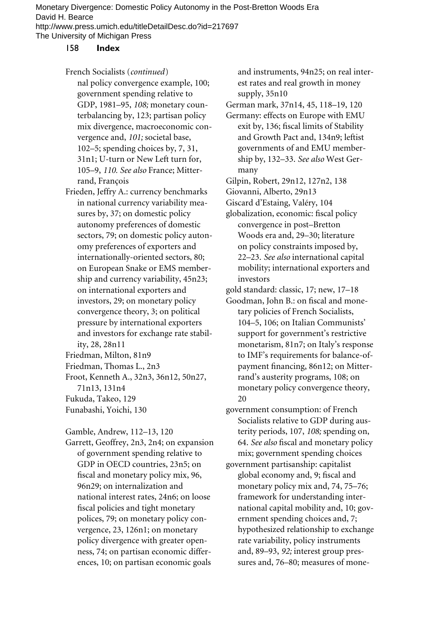# 158 **Index**

- French Socialists (*continued*) nal policy convergence example, 100; government spending relative to GDP, 1981–95, *108;* monetary counterbalancing by, 123; partisan policy mix divergence, macroeconomic convergence and, *101;* societal base, 102–5; spending choices by, 7, 31, 31n1; U-turn or New Left turn for, 105–9, *110. See also* France; Mitterrand, François
- Frieden, Jeffry A.: currency benchmarks in national currency variability measures by, 37; on domestic policy autonomy preferences of domestic sectors, 79; on domestic policy autonomy preferences of exporters and internationally-oriented sectors, 80; on European Snake or EMS membership and currency variability, 45n23; on international exporters and investors, 29; on monetary policy convergence theory, 3; on political pressure by international exporters and investors for exchange rate stability, 28, 28n11
- Friedman, Milton, 81n9
- Friedman, Thomas L., 2n3
- Froot, Kenneth A., 32n3, 36n12, 50n27, 71n13, 131n4
- Fukuda, Takeo, 129
- Funabashi, Yoichi, 130

Gamble, Andrew, 112–13, 120

Garrett, Geoffrey, 2n3, 2n4; on expansion of government spending relative to GDP in OECD countries, 23n5; on fiscal and monetary policy mix, 96, 96n29; on internalization and national interest rates, 24n6; on loose fiscal policies and tight monetary polices, 79; on monetary policy convergence, 23, 126n1; on monetary policy divergence with greater openness, 74; on partisan economic differences, 10; on partisan economic goals

and instruments, 94n25; on real interest rates and real growth in money supply, 35n10

- German mark, 37n14, 45, 118–19, 120
- Germany: effects on Europe with EMU exit by, 136; fiscal limits of Stability and Growth Pact and, 134n9; leftist governments of and EMU membership by, 132–33. *See also* West Germany
- Gilpin, Robert, 29n12, 127n2, 138
- Giovanni, Alberto, 29n13

Giscard d'Estaing, Valéry, 104

- globalization, economic: fiscal policy convergence in post–Bretton Woods era and, 29–30; literature on policy constraints imposed by, 22–23. *See also* international capital mobility; international exporters and investors
- gold standard: classic, 17; new, 17–18
- Goodman, John B.: on fiscal and monetary policies of French Socialists, 104–5, 106; on Italian Communists' support for government's restrictive monetarism, 81n7; on Italy's response to IMF's requirements for balance-ofpayment financing, 86n12; on Mitterrand's austerity programs, 108; on monetary policy convergence theory, 20
- government consumption: of French Socialists relative to GDP during austerity periods, 107, *108;* spending on, 64. See also fiscal and monetary policy mix; government spending choices
- government partisanship: capitalist global economy and, 9; fiscal and monetary policy mix and, 74, 75–76; framework for understanding international capital mobility and, 10; government spending choices and, 7; hypothesized relationship to exchange rate variability, policy instruments and, 89–93, *92;* interest group pressures and, 76–80; measures of mone-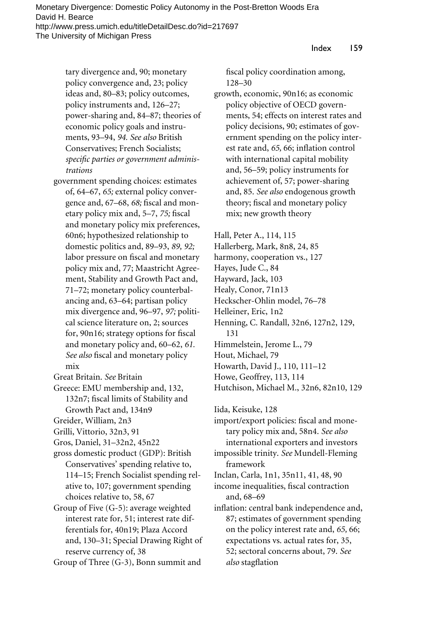tary divergence and, 90; monetary policy convergence and, 23; policy ideas and, 80–83; policy outcomes, policy instruments and, 126–27; power-sharing and, 84–87; theories of economic policy goals and instruments, 93–94, *94. See also* British Conservatives; French Socialists; specific parties or government adminis*trations*

- government spending choices: estimates of, 64–67, *65;* external policy convergence and, 67-68, 68; fiscal and monetary policy mix and, 5-7, 75; fiscal and monetary policy mix preferences, 60n6; hypothesized relationship to domestic politics and, 89–93, *89, 92;* labor pressure on fiscal and monetary policy mix and, 77; Maastricht Agreement, Stability and Growth Pact and, 71–72; monetary policy counterbalancing and, 63–64; partisan policy mix divergence and, 96–97, *97;* political science literature on, 2; sources for, 90n16; strategy options for fiscal and monetary policy and, 60–62, *61.* See also fiscal and monetary policy mix
- Great Britain. *See* Britain
- Greece: EMU membership and, 132, 132n7; fiscal limits of Stability and Growth Pact and, 134n9
- Greider, William, 2n3
- Grilli, Vittorio, 32n3, 91
- Gros, Daniel, 31–32n2, 45n22
- gross domestic product (GDP): British Conservatives' spending relative to, 114–15; French Socialist spending relative to, 107; government spending choices relative to, 58, 67
- Group of Five (G-5): average weighted interest rate for, 51; interest rate differentials for, 40n19; Plaza Accord and, 130–31; Special Drawing Right of reserve currency of, 38

Group of Three (G-3), Bonn summit and

fiscal policy coordination among, 128–30

growth, economic, 90n16; as economic policy objective of OECD governments, 54; effects on interest rates and policy decisions, 90; estimates of government spending on the policy interest rate and, 65, 66; inflation control with international capital mobility and, 56–59; policy instruments for achievement of, 57; power-sharing and, 85. *See also* endogenous growth theory; fiscal and monetary policy mix; new growth theory

Hall, Peter A., 114, 115 Hallerberg, Mark, 8n8, 24, 85 harmony, cooperation vs., 127 Hayes, Jude C., 84 Hayward, Jack, 103 Healy, Conor, 71n13 Heckscher-Ohlin model, 76–78 Helleiner, Eric, 1n2 Henning, C. Randall, 32n6, 127n2, 129, 131 Himmelstein, Jerome L., 79 Hout, Michael, 79 Howarth, David J., 110, 111–12

- Howe, Geoffrey, 113, 114
- Hutchison, Michael M., 32n6, 82n10, 129

Iida, Keisuke, 128

import/export policies: fiscal and monetary policy mix and, 58n4. *See also* international exporters and investors

- impossible trinity. *See* Mundell-Fleming framework
- Inclan, Carla, 1n1, 35n11, 41, 48, 90
- income inequalities, fiscal contraction and, 68–69
- inflation: central bank independence and, 87; estimates of government spending on the policy interest rate and, *65,* 66; expectations vs. actual rates for, 35, 52; sectoral concerns about, 79. *See also* stagflation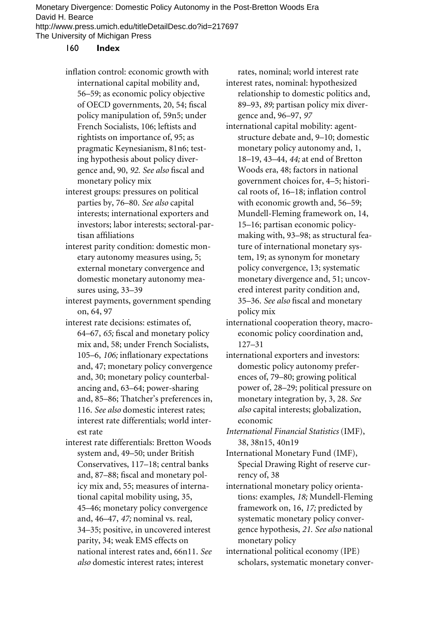#### 160 **Index**

- inflation control: economic growth with international capital mobility and, 56–59; as economic policy objective of OECD governments, 20, 54; fiscal policy manipulation of, 59n5; under French Socialists, 106; leftists and rightists on importance of, 95; as pragmatic Keynesianism, 81n6; testing hypothesis about policy divergence and, 90, 92. See also fiscal and monetary policy mix
- interest groups: pressures on political parties by, 76–80. *See also* capital interests; international exporters and investors; labor interests; sectoral-partisan affiliations
- interest parity condition: domestic monetary autonomy measures using, 5; external monetary convergence and domestic monetary autonomy measures using, 33–39

interest payments, government spending on, 64, 97

- interest rate decisions: estimates of, 64–67, 65; fiscal and monetary policy mix and, 58; under French Socialists, 105–6, *106*; inflationary expectations and, 47; monetary policy convergence and, 30; monetary policy counterbalancing and, 63–64; power-sharing and, 85–86; Thatcher's preferences in, 116. *See also* domestic interest rates; interest rate differentials; world interest rate
- interest rate differentials: Bretton Woods system and, 49–50; under British Conservatives, 117–18; central banks and, 87-88; fiscal and monetary policy mix and, 55; measures of international capital mobility using, 35, 45–46; monetary policy convergence and, 46–47, *47;* nominal vs. real, 34–35; positive, in uncovered interest parity, 34; weak EMS effects on national interest rates and, 66n11. *See also* domestic interest rates; interest

rates, nominal; world interest rate interest rates, nominal: hypothesized relationship to domestic politics and, 89–93, *89;* partisan policy mix divergence and, 96–97, *97*

- international capital mobility: agentstructure debate and, 9–10; domestic monetary policy autonomy and, 1, 18–19, 43–44, *44;* at end of Bretton Woods era, 48; factors in national government choices for, 4–5; historical roots of, 16–18; inflation control with economic growth and, 56–59; Mundell-Fleming framework on, 14, 15–16; partisan economic policymaking with, 93–98; as structural feature of international monetary system, 19; as synonym for monetary policy convergence, 13; systematic monetary divergence and, 51; uncovered interest parity condition and, 35-36. See also fiscal and monetary policy mix
- international cooperation theory, macroeconomic policy coordination and, 127–31
- international exporters and investors: domestic policy autonomy preferences of, 79–80; growing political power of, 28–29; political pressure on monetary integration by, 3, 28. *See also* capital interests; globalization, economic
- *International Financial Statistics* (IMF), 38, 38n15, 40n19

International Monetary Fund (IMF), Special Drawing Right of reserve currency of, 38

- international monetary policy orientations: examples, *18;* Mundell-Fleming framework on, 16, *17;* predicted by systematic monetary policy convergence hypothesis, *21. See also* national monetary policy
- international political economy (IPE) scholars, systematic monetary conver-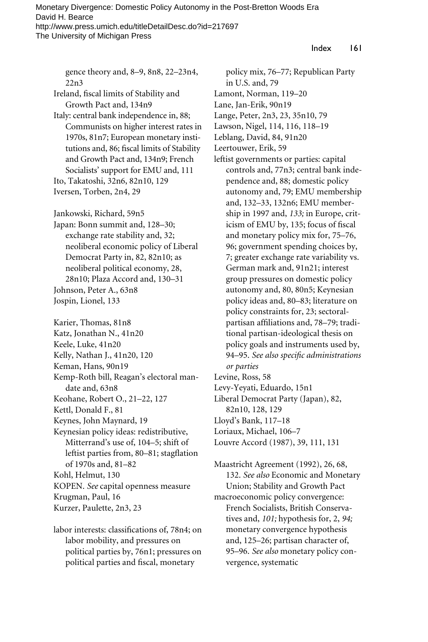Index 161

gence theory and, 8–9, 8n8, 22–23n4, 22n3

Ireland, fiscal limits of Stability and Growth Pact and, 134n9

Italy: central bank independence in, 88; Communists on higher interest rates in 1970s, 81n7; European monetary institutions and, 86; fiscal limits of Stability and Growth Pact and, 134n9; French Socialists' support for EMU and, 111 Ito, Takatoshi, 32n6, 82n10, 129

Iversen, Torben, 2n4, 29

Jankowski, Richard, 59n5

Japan: Bonn summit and, 128–30; exchange rate stability and, 32; neoliberal economic policy of Liberal Democrat Party in, 82, 82n10; as neoliberal political economy, 28, 28n10; Plaza Accord and, 130–31 Johnson, Peter A., 63n8 Jospin, Lionel, 133

Karier, Thomas, 81n8 Katz, Jonathan N., 41n20 Keele, Luke, 41n20 Kelly, Nathan J., 41n20, 120 Keman, Hans, 90n19 Kemp-Roth bill, Reagan's electoral mandate and, 63n8 Keohane, Robert O., 21–22, 127 Kettl, Donald F., 81 Keynes, John Maynard, 19 Keynesian policy ideas: redistributive, Mitterrand's use of, 104–5; shift of leftist parties from, 80–81; stagflation of 1970s and, 81–82 Kohl, Helmut, 130 KOPEN. *See* capital openness measure Krugman, Paul, 16

- Kurzer, Paulette, 2n3, 23
- labor interests: classifications of, 78n4; on labor mobility, and pressures on political parties by, 76n1; pressures on political parties and fiscal, monetary

policy mix, 76–77; Republican Party in U.S. and, 79 Lamont, Norman, 119–20 Lane, Jan-Erik, 90n19 Lange, Peter, 2n3, 23, 35n10, 79 Lawson, Nigel, 114, 116, 118–19 Leblang, David, 84, 91n20 Leertouwer, Erik, 59 leftist governments or parties: capital controls and, 77n3; central bank independence and, 88; domestic policy autonomy and, 79; EMU membership and, 132–33, 132n6; EMU membership in 1997 and, *133;* in Europe, criticism of EMU by, 135; focus of fiscal and monetary policy mix for, 75–76, 96; government spending choices by, 7; greater exchange rate variability vs. German mark and, 91n21; interest group pressures on domestic policy autonomy and, 80, 80n5; Keynesian policy ideas and, 80–83; literature on policy constraints for, 23; sectoralpartisan affiliations and, 78–79; traditional partisan-ideological thesis on policy goals and instruments used by, 94–95. See also specific administrations *or parties* Levine, Ross, 58

- Levy-Yeyati, Eduardo, 15n1
- Liberal Democrat Party (Japan), 82, 82n10, 128, 129
- Lloyd's Bank, 117–18
- Loriaux, Michael, 106–7
- Louvre Accord (1987), 39, 111, 131

Maastricht Agreement (1992), 26, 68, 132. *See also* Economic and Monetary Union; Stability and Growth Pact macroeconomic policy convergence: French Socialists, British Conservatives and, *101;* hypothesis for, 2, *94;* monetary convergence hypothesis and, 125–26; partisan character of, 95–96. *See also* monetary policy convergence, systematic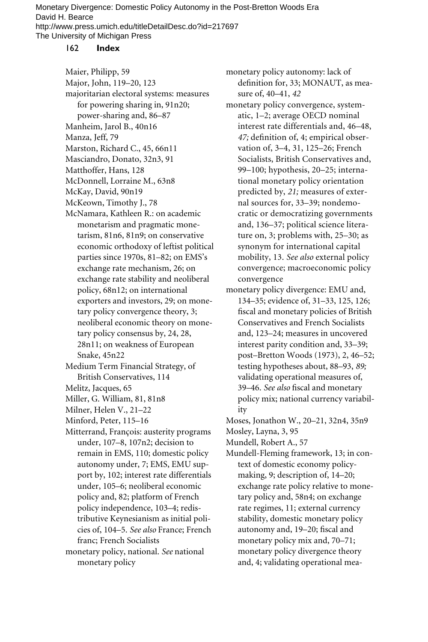# 162 **Index**

Maier, Philipp, 59 Major, John, 119–20, 123 majoritarian electoral systems: measures for powering sharing in, 91n20; power-sharing and, 86–87 Manheim, Jarol B., 40n16 Manza, Jeff, 79 Marston, Richard C., 45, 66n11 Masciandro, Donato, 32n3, 91 Matthoffer, Hans, 128 McDonnell, Lorraine M., 63n8 McKay, David, 90n19 McKeown, Timothy J., 78 McNamara, Kathleen R.: on academic monetarism and pragmatic monetarism, 81n6, 81n9; on conservative economic orthodoxy of leftist political parties since 1970s, 81–82; on EMS's exchange rate mechanism, 26; on exchange rate stability and neoliberal policy, 68n12; on international exporters and investors, 29; on monetary policy convergence theory, 3; neoliberal economic theory on monetary policy consensus by, 24, 28, 28n11; on weakness of European Snake, 45n22 Medium Term Financial Strategy, of British Conservatives, 114 Melitz, Jacques, 65 Miller, G. William, 81, 81n8 Milner, Helen V., 21–22 Minford, Peter, 115–16 Mitterrand, François: austerity programs under, 107–8, 107n2; decision to remain in EMS, 110; domestic policy autonomy under, 7; EMS, EMU support by, 102; interest rate differentials under, 105–6; neoliberal economic policy and, 82; platform of French policy independence, 103–4; redistributive Keynesianism as initial policies of, 104–5. *See also* France; French franc; French Socialists monetary policy, national. *See* national monetary policy

monetary policy autonomy: lack of definition for, 33; MONAUT, as measure of, 40–41, *42*

- monetary policy convergence, systematic, 1–2; average OECD nominal interest rate differentials and, 46–48, 47; definition of, 4; empirical observation of, 3–4, 31, 125–26; French Socialists, British Conservatives and, 99–100; hypothesis, 20–25; international monetary policy orientation predicted by, *21;* measures of external sources for, 33–39; nondemocratic or democratizing governments and, 136–37; political science literature on, 3; problems with, 25–30; as synonym for international capital mobility, 13. *See also* external policy convergence; macroeconomic policy convergence
- monetary policy divergence: EMU and, 134–35; evidence of, 31–33, 125, 126; fiscal and monetary policies of British Conservatives and French Socialists and, 123–24; measures in uncovered interest parity condition and, 33–39; post–Bretton Woods (1973), 2, 46–52; testing hypotheses about, 88–93, *89;* validating operational measures of, 39-46. See also fiscal and monetary policy mix; national currency variability
- Moses, Jonathon W., 20–21, 32n4, 35n9 Mosley, Layna, 3, 95
- Mundell, Robert A., 57
- Mundell-Fleming framework, 13; in context of domestic economy policymaking, 9; description of, 14–20; exchange rate policy relative to monetary policy and, 58n4; on exchange rate regimes, 11; external currency stability, domestic monetary policy autonomy and, 19-20; fiscal and monetary policy mix and, 70–71; monetary policy divergence theory and, 4; validating operational mea-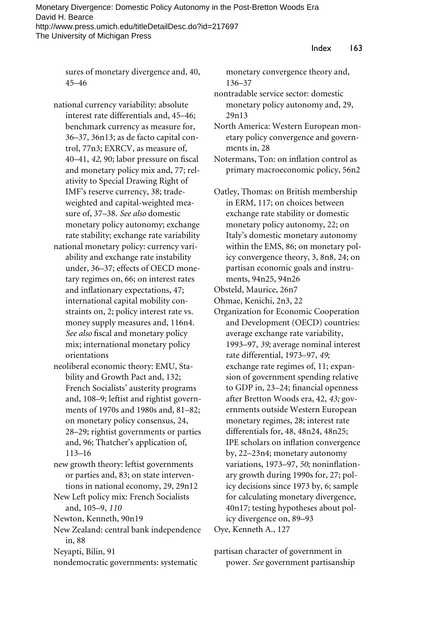sures of monetary divergence and, 40, 45–46

national currency variability: absolute interest rate differentials and, 45–46; benchmark currency as measure for, 36–37, 36n13; as de facto capital control, 77n3; EXRCV, as measure of, 40–41, 42, 90; labor pressure on fiscal and monetary policy mix and, 77; relativity to Special Drawing Right of IMF's reserve currency, 38; tradeweighted and capital-weighted measure of, 37–38. *See also* domestic monetary policy autonomy; exchange rate stability; exchange rate variability

- national monetary policy: currency variability and exchange rate instability under, 36–37; effects of OECD monetary regimes on, 66; on interest rates and inflationary expectations, 47; international capital mobility constraints on, 2; policy interest rate vs. money supply measures and, 116n4. *See also* fiscal and monetary policy mix; international monetary policy orientations
- neoliberal economic theory: EMU, Stability and Growth Pact and, 132; French Socialists' austerity programs and, 108–9; leftist and rightist governments of 1970s and 1980s and, 81–82; on monetary policy consensus, 24, 28–29; rightist governments or parties and, 96; Thatcher's application of, 113–16

new growth theory: leftist governments or parties and, 83; on state interventions in national economy, 29, 29n12

New Left policy mix: French Socialists and, 105–9, *110*

Newton, Kenneth, 90n19

New Zealand: central bank independence in, 88

Neyapti, Bilin, 91

nondemocratic governments: systematic

monetary convergence theory and, 136–37

nontradable service sector: domestic monetary policy autonomy and, 29, 29n13

North America: Western European monetary policy convergence and governments in, 28

Notermans, Ton: on inflation control as primary macroeconomic policy, 56n2

Oatley, Thomas: on British membership in ERM, 117; on choices between exchange rate stability or domestic monetary policy autonomy, 22; on Italy's domestic monetary autonomy within the EMS, 86; on monetary policy convergence theory, 3, 8n8, 24; on partisan economic goals and instruments, 94n25, 94n26

Obsteld, Maurice, 26n7

Ohmae, Kenichi, 2n3, 22

Organization for Economic Cooperation and Development (OECD) countries: average exchange rate variability, 1993–97, *39;* average nominal interest rate differential, 1973–97, *49;* exchange rate regimes of, 11; expansion of government spending relative to GDP in, 23-24; financial openness after Bretton Woods era, 42, *43;* governments outside Western European monetary regimes, 28; interest rate differentials for, 48, 48n24, 48n25; IPE scholars on inflation convergence by, 22–23n4; monetary autonomy variations, 1973-97, 50; noninflationary growth during 1990s for, 27; policy decisions since 1973 by, 6; sample for calculating monetary divergence, 40n17; testing hypotheses about policy divergence on, 89–93

Oye, Kenneth A., 127

partisan character of government in power. *See* government partisanship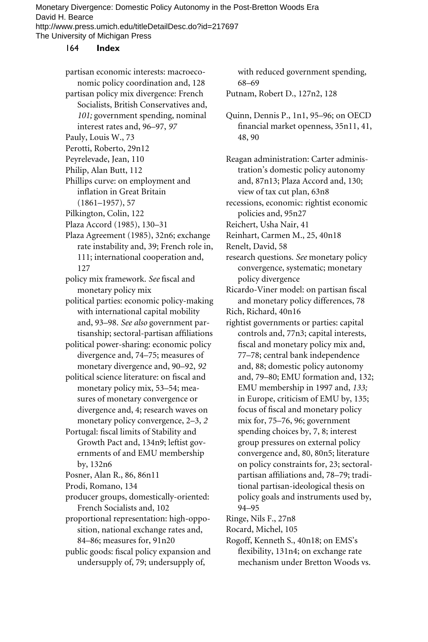# 164 **Index**

partisan economic interests: macroeconomic policy coordination and, 128 partisan policy mix divergence: French Socialists, British Conservatives and, *101;* government spending, nominal

- interest rates and, 96–97, *97*
- Pauly, Louis W., 73
- Perotti, Roberto, 29n12
- Peyrelevade, Jean, 110
- Philip, Alan Butt, 112
- Phillips curve: on employment and inflation in Great Britain (1861–1957), 57
- Pilkington, Colin, 122
- Plaza Accord (1985), 130–31
- Plaza Agreement (1985), 32n6; exchange rate instability and, 39; French role in, 111; international cooperation and, 127
- policy mix framework. See fiscal and monetary policy mix
- political parties: economic policy-making with international capital mobility and, 93–98. *See also* government partisanship; sectoral-partisan affiliations
- political power-sharing: economic policy divergence and, 74–75; measures of monetary divergence and, 90–92, *92*
- political science literature: on fiscal and monetary policy mix, 53–54; measures of monetary convergence or divergence and, 4; research waves on monetary policy convergence, 2–3, *2*
- Portugal: fiscal limits of Stability and Growth Pact and, 134n9; leftist governments of and EMU membership by, 132n6
- Posner, Alan R., 86, 86n11
- Prodi, Romano, 134
- producer groups, domestically-oriented: French Socialists and, 102
- proportional representation: high-opposition, national exchange rates and, 84–86; measures for, 91n20
- public goods: fiscal policy expansion and undersupply of, 79; undersupply of,

with reduced government spending, 68–69

- Putnam, Robert D., 127n2, 128
- Quinn, Dennis P., 1n1, 95–96; on OECD financial market openness, 35n11, 41, 48, 90
- Reagan administration: Carter administration's domestic policy autonomy and, 87n13; Plaza Accord and, 130; view of tax cut plan, 63n8

recessions, economic: rightist economic policies and, 95n27

- Reichert, Usha Nair, 41
- Reinhart, Carmen M., 25, 40n18
- Renelt, David, 58
- research questions. *See* monetary policy convergence, systematic; monetary policy divergence

Ricardo-Viner model: on partisan fiscal and monetary policy differences, 78

- Rich, Richard, 40n16
- rightist governments or parties: capital controls and, 77n3; capital interests, fiscal and monetary policy mix and, 77–78; central bank independence and, 88; domestic policy autonomy and, 79–80; EMU formation and, 132; EMU membership in 1997 and, *133;* in Europe, criticism of EMU by, 135; focus of fiscal and monetary policy mix for, 75–76, 96; government spending choices by, 7, 8; interest group pressures on external policy convergence and, 80, 80n5; literature on policy constraints for, 23; sectoralpartisan affiliations and, 78–79; traditional partisan-ideological thesis on policy goals and instruments used by, 94–95
- Ringe, Nils F., 27n8
- Rocard, Michel, 105
- Rogoff, Kenneth S., 40n18; on EMS's flexibility, 131n4; on exchange rate mechanism under Bretton Woods vs.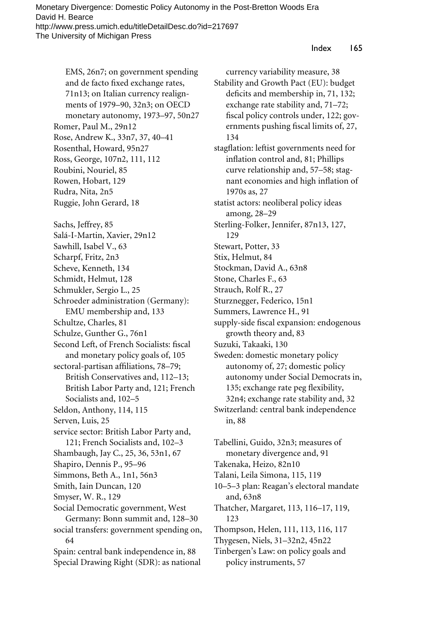EMS, 26n7; on government spending and de facto fixed exchange rates, 71n13; on Italian currency realignments of 1979–90, 32n3; on OECD monetary autonomy, 1973–97, 50n27 Romer, Paul M., 29n12 Rose, Andrew K., 33n7, 37, 40–41 Rosenthal, Howard, 95n27 Ross, George, 107n2, 111, 112 Roubini, Nouriel, 85 Rowen, Hobart, 129 Rudra, Nita, 2n5 Ruggie, John Gerard, 18 Sachs, Jeffrey, 85 Salá-I-Martin, Xavier, 29n12 Sawhill, Isabel V., 63 Scharpf, Fritz, 2n3 Scheve, Kenneth, 134 Schmidt, Helmut, 128 Schmukler, Sergio L., 25 Schroeder administration (Germany): EMU membership and, 133 Schultze, Charles, 81 Schulze, Gunther G., 76n1 Second Left, of French Socialists: fiscal and monetary policy goals of, 105 sectoral-partisan affiliations, 78–79; British Conservatives and, 112–13; British Labor Party and, 121; French Socialists and, 102–5 Seldon, Anthony, 114, 115 Serven, Luis, 25 service sector: British Labor Party and, 121; French Socialists and, 102–3 Shambaugh, Jay C., 25, 36, 53n1, 67 Shapiro, Dennis P., 95–96 Simmons, Beth A., 1n1, 56n3 Smith, Iain Duncan, 120 Smyser, W. R., 129 Social Democratic government, West Germany: Bonn summit and, 128–30 social transfers: government spending on, 64

Spain: central bank independence in, 88 Special Drawing Right (SDR): as national

currency variability measure, 38 Stability and Growth Pact (EU): budget deficits and membership in, 71, 132; exchange rate stability and, 71–72; fiscal policy controls under, 122; governments pushing fiscal limits of, 27, 134 stagflation: leftist governments need for inflation control and, 81; Phillips curve relationship and, 57–58; stagnant economies and high inflation of 1970s as, 27 statist actors: neoliberal policy ideas among, 28–29 Sterling-Folker, Jennifer, 87n13, 127, 129 Stewart, Potter, 33 Stix, Helmut, 84 Stockman, David A., 63n8 Stone, Charles F., 63 Strauch, Rolf R., 27 Sturznegger, Federico, 15n1 Summers, Lawrence H., 91 supply-side fiscal expansion: endogenous growth theory and, 83 Suzuki, Takaaki, 130 Sweden: domestic monetary policy autonomy of, 27; domestic policy autonomy under Social Democrats in, 135; exchange rate peg flexibility, 32n4; exchange rate stability and, 32 Switzerland: central bank independence in, 88 Tabellini, Guido, 32n3; measures of monetary divergence and, 91 Takenaka, Heizo, 82n10

Talani, Leila Simona, 115, 119

10–5–3 plan: Reagan's electoral mandate and, 63n8

Thatcher, Margaret, 113, 116–17, 119, 123

Thompson, Helen, 111, 113, 116, 117

Thygesen, Niels, 31–32n2, 45n22

Tinbergen's Law: on policy goals and policy instruments, 57